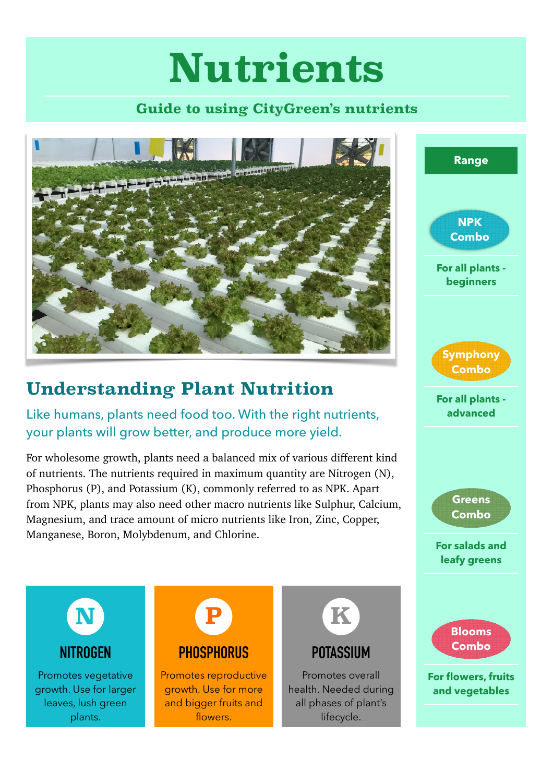# **Nutrients**

#### **Guide to using CityGreen's nutrients**

**For all plants beginners**

**NPK Combo**

**Range**

**For all plants advanced**

**Symphony Combo**

**For salads and** 

**Greens Combo**



## **Understanding Plant Nutrition**

Like humans, plants need food too. With the right nutrients, your plants will grow better, and produce more yield.

For wholesome growth, plants need a balanced mix of various different kind of nutrients. The nutrients required in maximum quantity are Nitrogen (N), Phosphorus (P), and Potassium (K), commonly referred to as NPK. Apart from NPK, plants may also need other macro nutrients like Sulphur, Calcium, Magnesium, and trace amount of micro nutrients like Iron, Zinc, Copper, Manganese, Boron, Molybdenum, and Chlorine.